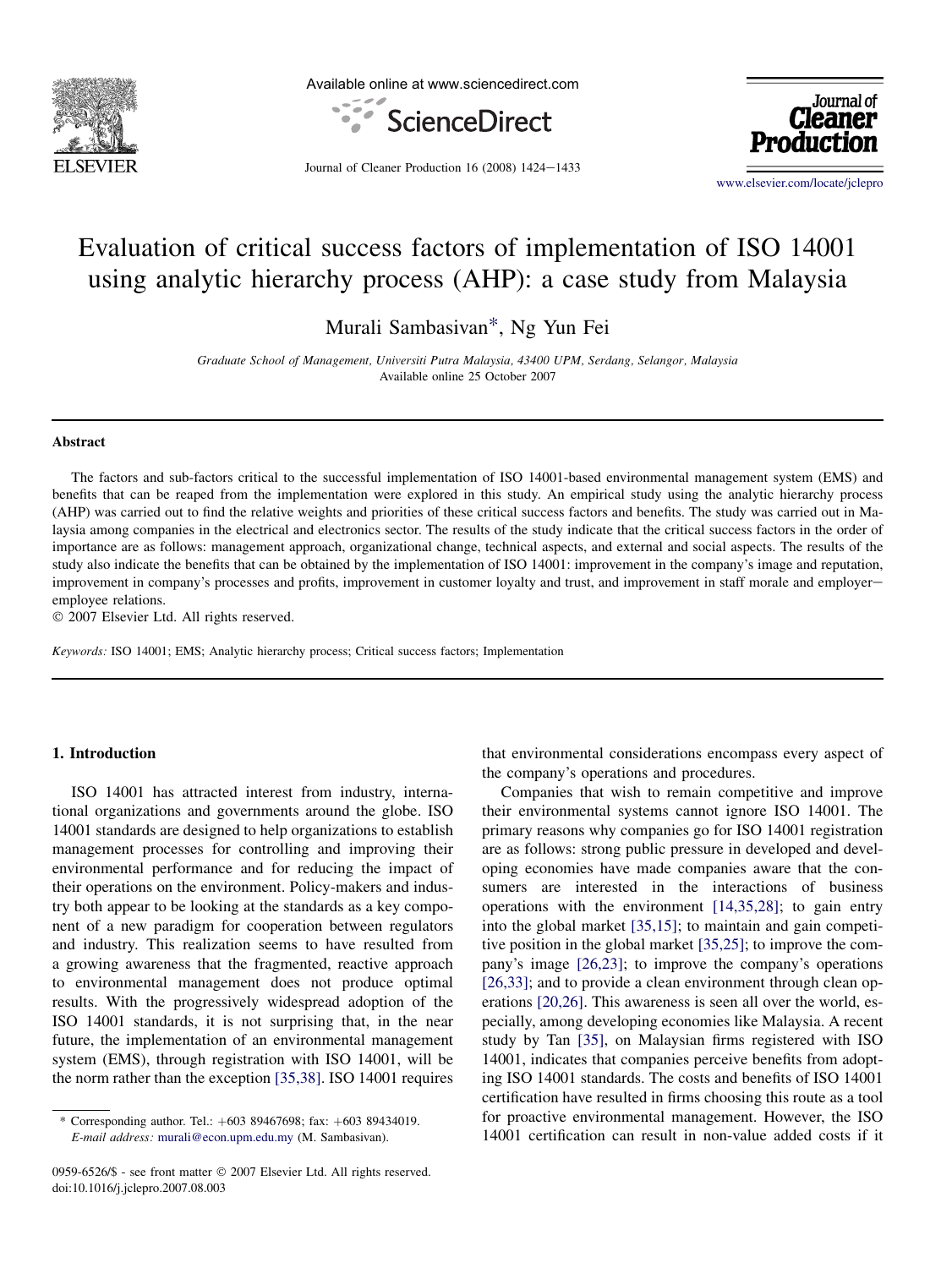

Available online at www.sciencedirect.com



Journal of Cleaner

Journal of Cleaner Production  $16$  (2008)  $1424-1433$ 

[www.elsevier.com/locate/jclepro](http://www.elsevier.com/locate/jclepro)

# Evaluation of critical success factors of implementation of ISO 14001 using analytic hierarchy process (AHP): a case study from Malaysia

Murali Sambasivan\*, Ng Yun Fei

Graduate School of Management, Universiti Putra Malaysia, 43400 UPM, Serdang, Selangor, Malaysia Available online 25 October 2007

#### **Abstract**

The factors and sub-factors critical to the successful implementation of ISO 14001-based environmental management system (EMS) and benefits that can be reaped from the implementation were explored in this study. An empirical study using the analytic hierarchy process (AHP) was carried out to find the relative weights and priorities of these critical success factors and benefits. The study was carried out in Malaysia among companies in the electrical and electronics sector. The results of the study indicate that the critical success factors in the order of importance are as follows: management approach, organizational change, technical aspects, and external and social aspects. The results of the study also indicate the benefits that can be obtained by the implementation of ISO 14001: improvement in the company's image and reputation, improvement in company's processes and profits, improvement in customer loyalty and trust, and improvement in staff morale and employere employee relations.

© 2007 Elsevier Ltd. All rights reserved.

Keywords: ISO 14001; EMS; Analytic hierarchy process; Critical success factors; Implementation

### 1. Introduction

ISO 14001 has attracted interest from industry, international organizations and governments around the globe. ISO 14001 standards are designed to help organizations to establish management processes for controlling and improving their environmental performance and for reducing the impact of their operations on the environment. Policy-makers and industry both appear to be looking at the standards as a key component of a new paradigm for cooperation between regulators and industry. This realization seems to have resulted from a growing awareness that the fragmented, reactive approach to environmental management does not produce optimal results. With the progressively widespread adoption of the ISO 14001 standards, it is not surprising that, in the near future, the implementation of an environmental management system (EMS), through registration with ISO 14001, will be the norm rather than the exception [\[35,38\]](#page--1-0). ISO 14001 requires

0959-6526/\$ - see front matter © 2007 Elsevier Ltd. All rights reserved. doi:10.1016/j.jclepro.2007.08.003

that environmental considerations encompass every aspect of the company's operations and procedures.

Companies that wish to remain competitive and improve their environmental systems cannot ignore ISO 14001. The primary reasons why companies go for ISO 14001 registration are as follows: strong public pressure in developed and developing economies have made companies aware that the consumers are interested in the interactions of business operations with the environment [\[14,35,28\];](#page--1-0) to gain entry into the global market [\[35,15\]](#page--1-0); to maintain and gain competitive position in the global market [\[35,25\];](#page--1-0) to improve the company's image [\[26,23\]](#page--1-0); to improve the company's operations [\[26,33\];](#page--1-0) and to provide a clean environment through clean operations [\[20,26\]](#page--1-0). This awareness is seen all over the world, especially, among developing economies like Malaysia. A recent study by Tan [\[35\]](#page--1-0), on Malaysian firms registered with ISO 14001, indicates that companies perceive benefits from adopting ISO 14001 standards. The costs and benefits of ISO 14001 certification have resulted in firms choosing this route as a tool for proactive environmental management. However, the ISO 14001 certification can result in non-value added costs if it

<sup>\*</sup> Corresponding author. Tel.:  $+60389467698$ ; fax:  $+60389434019$ . E-mail address: [murali@econ.upm.edu.my](mailto:murali@econ.upm.edu.my) (M. Sambasivan).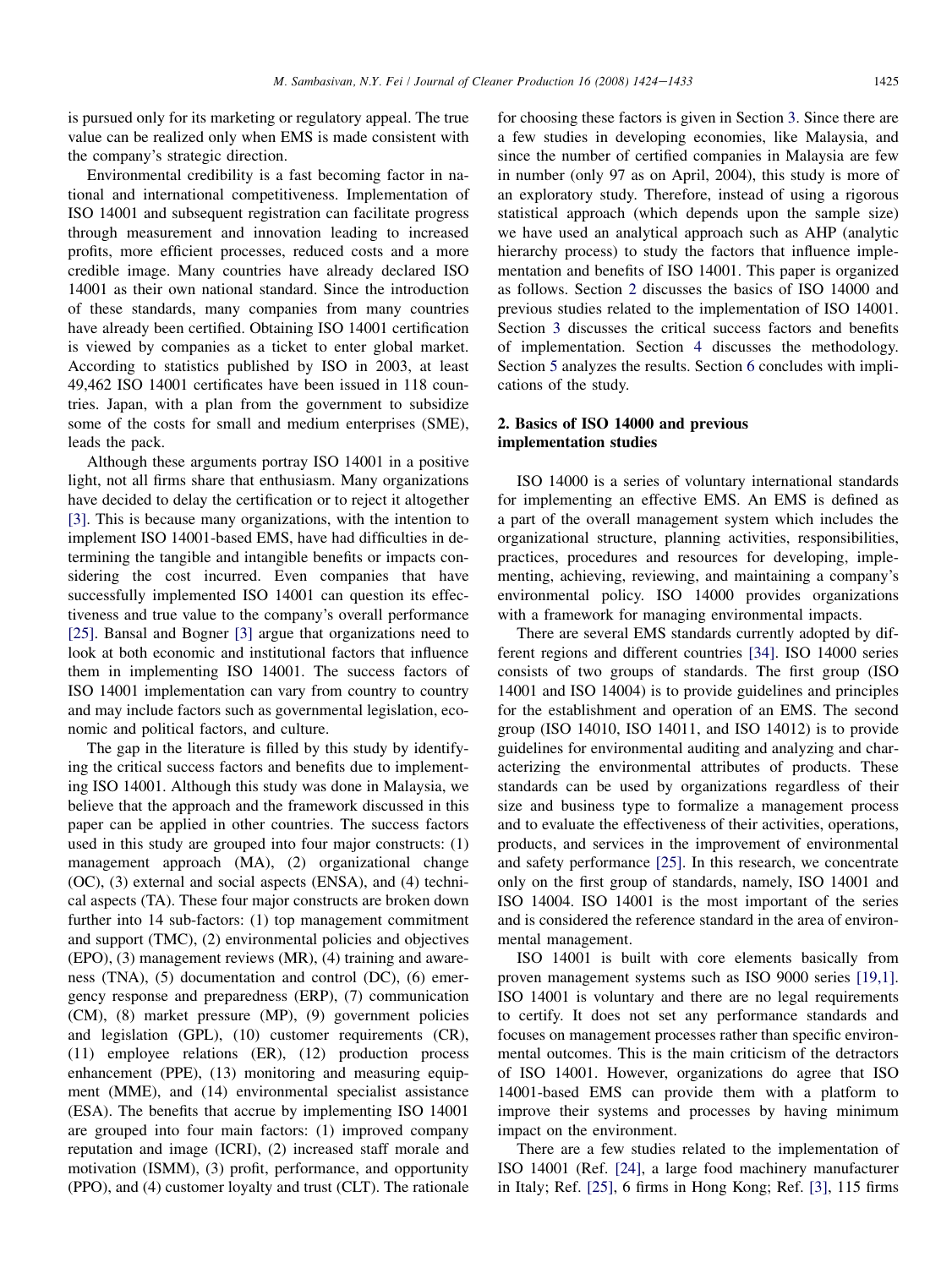is pursued only for its marketing or regulatory appeal. The true value can be realized only when EMS is made consistent with the company's strategic direction.

Environmental credibility is a fast becoming factor in national and international competitiveness. Implementation of ISO 14001 and subsequent registration can facilitate progress through measurement and innovation leading to increased profits, more efficient processes, reduced costs and a more credible image. Many countries have already declared ISO 14001 as their own national standard. Since the introduction of these standards, many companies from many countries have already been certified. Obtaining ISO 14001 certification is viewed by companies as a ticket to enter global market. According to statistics published by ISO in 2003, at least 49,462 ISO 14001 certificates have been issued in 118 countries. Japan, with a plan from the government to subsidize some of the costs for small and medium enterprises (SME), leads the pack.

Although these arguments portray ISO 14001 in a positive light, not all firms share that enthusiasm. Many organizations have decided to delay the certification or to reject it altogether [\[3\]](#page--1-0). This is because many organizations, with the intention to implement ISO 14001-based EMS, have had difficulties in determining the tangible and intangible benefits or impacts considering the cost incurred. Even companies that have successfully implemented ISO 14001 can question its effectiveness and true value to the company's overall performance [\[25\]](#page--1-0). Bansal and Bogner [\[3\]](#page--1-0) argue that organizations need to look at both economic and institutional factors that influence them in implementing ISO 14001. The success factors of ISO 14001 implementation can vary from country to country and may include factors such as governmental legislation, economic and political factors, and culture.

The gap in the literature is filled by this study by identifying the critical success factors and benefits due to implementing ISO 14001. Although this study was done in Malaysia, we believe that the approach and the framework discussed in this paper can be applied in other countries. The success factors used in this study are grouped into four major constructs: (1) management approach (MA), (2) organizational change (OC), (3) external and social aspects (ENSA), and (4) technical aspects (TA). These four major constructs are broken down further into 14 sub-factors: (1) top management commitment and support (TMC), (2) environmental policies and objectives (EPO), (3) management reviews (MR), (4) training and awareness (TNA), (5) documentation and control (DC), (6) emergency response and preparedness (ERP), (7) communication (CM), (8) market pressure (MP), (9) government policies and legislation (GPL), (10) customer requirements (CR), (11) employee relations (ER), (12) production process enhancement (PPE), (13) monitoring and measuring equipment (MME), and (14) environmental specialist assistance (ESA). The benefits that accrue by implementing ISO 14001 are grouped into four main factors: (1) improved company reputation and image (ICRI), (2) increased staff morale and motivation (ISMM), (3) profit, performance, and opportunity (PPO), and (4) customer loyalty and trust (CLT). The rationale for choosing these factors is given in Section [3](#page--1-0). Since there are a few studies in developing economies, like Malaysia, and since the number of certified companies in Malaysia are few in number (only 97 as on April, 2004), this study is more of an exploratory study. Therefore, instead of using a rigorous statistical approach (which depends upon the sample size) we have used an analytical approach such as AHP (analytic hierarchy process) to study the factors that influence implementation and benefits of ISO 14001. This paper is organized as follows. Section 2 discusses the basics of ISO 14000 and previous studies related to the implementation of ISO 14001. Section [3](#page--1-0) discusses the critical success factors and benefits of implementation. Section [4](#page--1-0) discusses the methodology. Section [5](#page--1-0) analyzes the results. Section [6](#page--1-0) concludes with implications of the study.

#### 2. Basics of ISO 14000 and previous implementation studies

ISO 14000 is a series of voluntary international standards for implementing an effective EMS. An EMS is defined as a part of the overall management system which includes the organizational structure, planning activities, responsibilities, practices, procedures and resources for developing, implementing, achieving, reviewing, and maintaining a company's environmental policy. ISO 14000 provides organizations with a framework for managing environmental impacts.

There are several EMS standards currently adopted by different regions and different countries [\[34\]](#page--1-0). ISO 14000 series consists of two groups of standards. The first group (ISO 14001 and ISO 14004) is to provide guidelines and principles for the establishment and operation of an EMS. The second group (ISO 14010, ISO 14011, and ISO 14012) is to provide guidelines for environmental auditing and analyzing and characterizing the environmental attributes of products. These standards can be used by organizations regardless of their size and business type to formalize a management process and to evaluate the effectiveness of their activities, operations, products, and services in the improvement of environmental and safety performance [\[25\]](#page--1-0). In this research, we concentrate only on the first group of standards, namely, ISO 14001 and ISO 14004. ISO 14001 is the most important of the series and is considered the reference standard in the area of environmental management.

ISO 14001 is built with core elements basically from proven management systems such as ISO 9000 series [\[19,1\]](#page--1-0). ISO 14001 is voluntary and there are no legal requirements to certify. It does not set any performance standards and focuses on management processes rather than specific environmental outcomes. This is the main criticism of the detractors of ISO 14001. However, organizations do agree that ISO 14001-based EMS can provide them with a platform to improve their systems and processes by having minimum impact on the environment.

There are a few studies related to the implementation of ISO 14001 (Ref. [\[24\]](#page--1-0), a large food machinery manufacturer in Italy; Ref. [\[25\],](#page--1-0) 6 firms in Hong Kong; Ref. [\[3\]](#page--1-0), 115 firms